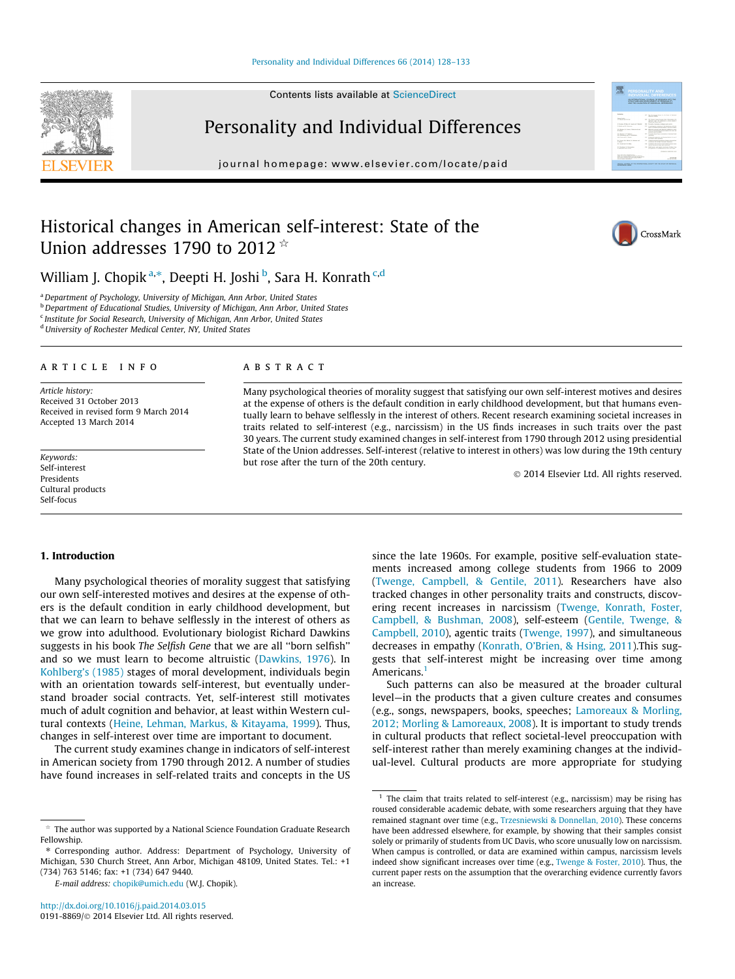## [Personality and Individual Differences 66 \(2014\) 128–133](http://dx.doi.org/10.1016/j.paid.2014.03.015)

Contents lists available at [ScienceDirect](http://www.sciencedirect.com/science/journal/01918869)

Personality and Individual Differences

journal homepage: [www.elsevier.com/locate/paid](http://www.elsevier.com/locate/paid)

# Historical changes in American self-interest: State of the Union addresses 1790 to 2012  $*$

William J. Chopik <sup>a,\*</sup>, Deepti H. Joshi <sup>b</sup>, Sara H. Konrath <sup>c,d</sup>

<sup>a</sup>Department of Psychology, University of Michigan, Ann Arbor, United States

**b** Department of Educational Studies, University of Michigan, Ann Arbor, United States

<sup>c</sup> Institute for Social Research, University of Michigan, Ann Arbor, United States

d University of Rochester Medical Center, NY, United States

#### article info

Article history: Received 31 October 2013 Received in revised form 9 March 2014 Accepted 13 March 2014

Keywords: Self-interest Presidents Cultural products Self-focus

# **ABSTRACT**

Many psychological theories of morality suggest that satisfying our own self-interest motives and desires at the expense of others is the default condition in early childhood development, but that humans eventually learn to behave selflessly in the interest of others. Recent research examining societal increases in traits related to self-interest (e.g., narcissism) in the US finds increases in such traits over the past 30 years. The current study examined changes in self-interest from 1790 through 2012 using presidential State of the Union addresses. Self-interest (relative to interest in others) was low during the 19th century but rose after the turn of the 20th century.

- 2014 Elsevier Ltd. All rights reserved.

## 1. Introduction

Many psychological theories of morality suggest that satisfying our own self-interested motives and desires at the expense of others is the default condition in early childhood development, but that we can learn to behave selflessly in the interest of others as we grow into adulthood. Evolutionary biologist Richard Dawkins suggests in his book The Selfish Gene that we are all ''born selfish'' and so we must learn to become altruistic ([Dawkins, 1976](#page-4-0)). In [Kohlberg's \(1985\)](#page-4-0) stages of moral development, individuals begin with an orientation towards self-interest, but eventually understand broader social contracts. Yet, self-interest still motivates much of adult cognition and behavior, at least within Western cultural contexts ([Heine, Lehman, Markus, & Kitayama, 1999\)](#page-4-0). Thus, changes in self-interest over time are important to document.

The current study examines change in indicators of self-interest in American society from 1790 through 2012. A number of studies have found increases in self-related traits and concepts in the US

⇑ Corresponding author. Address: Department of Psychology, University of Michigan, 530 Church Street, Ann Arbor, Michigan 48109, United States. Tel.: +1 (734) 763 5146; fax: +1 (734) 647 9440.

since the late 1960s. For example, positive self-evaluation statements increased among college students from 1966 to 2009 ([Twenge, Campbell, & Gentile, 2011\)](#page-5-0). Researchers have also tracked changes in other personality traits and constructs, discovering recent increases in narcissism [\(Twenge, Konrath, Foster,](#page-5-0) [Campbell, & Bushman, 2008\)](#page-5-0), self-esteem ([Gentile, Twenge, &](#page-4-0) [Campbell, 2010\)](#page-4-0), agentic traits [\(Twenge, 1997](#page-5-0)), and simultaneous decreases in empathy ([Konrath, O'Brien, & Hsing, 2011\)](#page-4-0).This suggests that self-interest might be increasing over time among Americans.<sup>1</sup>

Such patterns can also be measured at the broader cultural level—in the products that a given culture creates and consumes (e.g., songs, newspapers, books, speeches; [Lamoreaux & Morling,](#page-4-0) [2012; Morling & Lamoreaux, 2008](#page-4-0)). It is important to study trends in cultural products that reflect societal-level preoccupation with self-interest rather than merely examining changes at the individual-level. Cultural products are more appropriate for studying







The author was supported by a National Science Foundation Graduate Research Fellowship.

E-mail address: [chopik@umich.edu](mailto:chopik@umich.edu) (W.J. Chopik).

 $1$  The claim that traits related to self-interest (e.g., narcissism) may be rising has roused considerable academic debate, with some researchers arguing that they have remained stagnant over time (e.g., [Trzesniewski & Donnellan, 2010\)](#page-5-0). These concerns have been addressed elsewhere, for example, by showing that their samples consist solely or primarily of students from UC Davis, who score unusually low on narcissism. When campus is controlled, or data are examined within campus, narcissism levels indeed show significant increases over time (e.g., [Twenge & Foster, 2010](#page-5-0)). Thus, the current paper rests on the assumption that the overarching evidence currently favors an increase.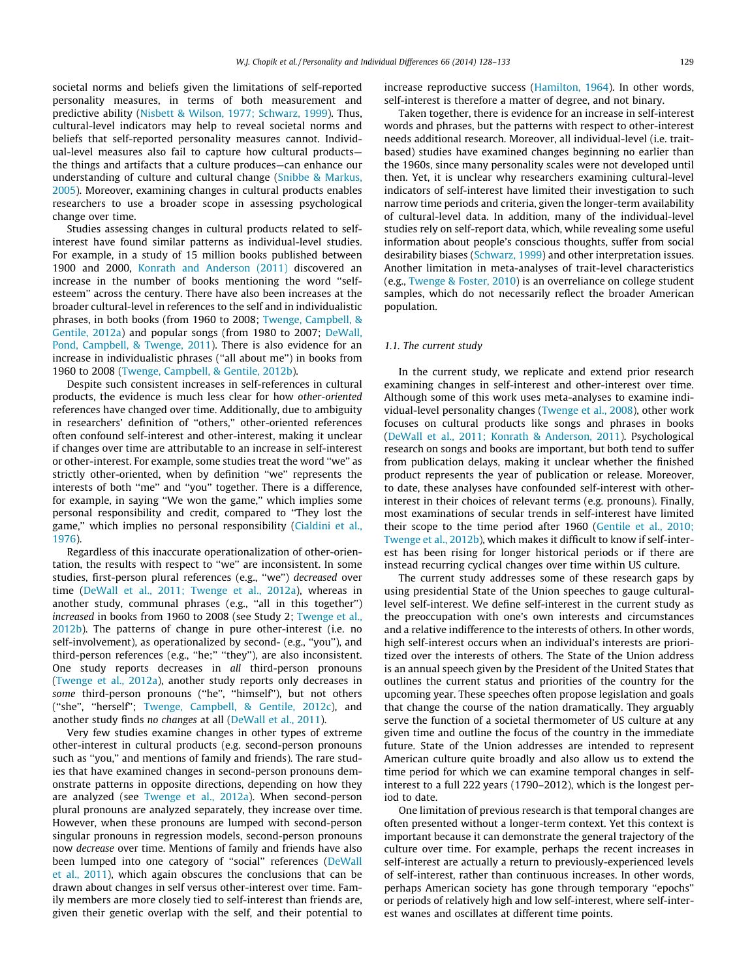societal norms and beliefs given the limitations of self-reported personality measures, in terms of both measurement and predictive ability ([Nisbett & Wilson, 1977; Schwarz, 1999](#page-4-0)). Thus, cultural-level indicators may help to reveal societal norms and beliefs that self-reported personality measures cannot. Individual-level measures also fail to capture how cultural products the things and artifacts that a culture produces—can enhance our understanding of culture and cultural change [\(Snibbe & Markus,](#page-4-0) [2005](#page-4-0)). Moreover, examining changes in cultural products enables researchers to use a broader scope in assessing psychological change over time.

Studies assessing changes in cultural products related to selfinterest have found similar patterns as individual-level studies. For example, in a study of 15 million books published between 1900 and 2000, [Konrath and Anderson \(2011\)](#page-4-0) discovered an increase in the number of books mentioning the word ''selfesteem'' across the century. There have also been increases at the broader cultural-level in references to the self and in individualistic phrases, in both books (from 1960 to 2008; [Twenge, Campbell, &](#page-5-0) [Gentile, 2012a](#page-5-0)) and popular songs (from 1980 to 2007; [DeWall,](#page-4-0) [Pond, Campbell, & Twenge, 2011](#page-4-0)). There is also evidence for an increase in individualistic phrases (''all about me'') in books from 1960 to 2008 [\(Twenge, Campbell, & Gentile, 2012b\)](#page-5-0).

Despite such consistent increases in self-references in cultural products, the evidence is much less clear for how other-oriented references have changed over time. Additionally, due to ambiguity in researchers' definition of ''others,'' other-oriented references often confound self-interest and other-interest, making it unclear if changes over time are attributable to an increase in self-interest or other-interest. For example, some studies treat the word ''we'' as strictly other-oriented, when by definition ''we'' represents the interests of both ''me'' and ''you'' together. There is a difference, for example, in saying ''We won the game,'' which implies some personal responsibility and credit, compared to ''They lost the game,'' which implies no personal responsibility [\(Cialdini et al.,](#page-4-0) [1976\)](#page-4-0).

Regardless of this inaccurate operationalization of other-orientation, the results with respect to ''we'' are inconsistent. In some studies, first-person plural references (e.g., ''we'') decreased over time ([DeWall et al., 2011; Twenge et al., 2012a\)](#page-4-0), whereas in another study, communal phrases (e.g., "all in this together") increased in books from 1960 to 2008 (see Study 2; [Twenge et al.,](#page-5-0) [2012b](#page-5-0)). The patterns of change in pure other-interest (i.e. no self-involvement), as operationalized by second- (e.g., ''you''), and third-person references (e.g., ''he;'' ''they''), are also inconsistent. One study reports decreases in all third-person pronouns ([Twenge et al., 2012a\)](#page-5-0), another study reports only decreases in some third-person pronouns (''he'', ''himself''), but not others (''she'', ''herself''; [Twenge, Campbell, & Gentile, 2012c](#page-5-0)), and another study finds no changes at all [\(DeWall et al., 2011\)](#page-4-0).

Very few studies examine changes in other types of extreme other-interest in cultural products (e.g. second-person pronouns such as ''you,'' and mentions of family and friends). The rare studies that have examined changes in second-person pronouns demonstrate patterns in opposite directions, depending on how they are analyzed (see [Twenge et al., 2012a\)](#page-5-0). When second-person plural pronouns are analyzed separately, they increase over time. However, when these pronouns are lumped with second-person singular pronouns in regression models, second-person pronouns now decrease over time. Mentions of family and friends have also been lumped into one category of ''social'' references ([DeWall](#page-4-0) [et al., 2011](#page-4-0)), which again obscures the conclusions that can be drawn about changes in self versus other-interest over time. Family members are more closely tied to self-interest than friends are, given their genetic overlap with the self, and their potential to increase reproductive success [\(Hamilton, 1964](#page-4-0)). In other words, self-interest is therefore a matter of degree, and not binary.

Taken together, there is evidence for an increase in self-interest words and phrases, but the patterns with respect to other-interest needs additional research. Moreover, all individual-level (i.e. traitbased) studies have examined changes beginning no earlier than the 1960s, since many personality scales were not developed until then. Yet, it is unclear why researchers examining cultural-level indicators of self-interest have limited their investigation to such narrow time periods and criteria, given the longer-term availability of cultural-level data. In addition, many of the individual-level studies rely on self-report data, which, while revealing some useful information about people's conscious thoughts, suffer from social desirability biases [\(Schwarz, 1999](#page-4-0)) and other interpretation issues. Another limitation in meta-analyses of trait-level characteristics (e.g., [Twenge & Foster, 2010](#page-5-0)) is an overreliance on college student samples, which do not necessarily reflect the broader American population.

#### 1.1. The current study

In the current study, we replicate and extend prior research examining changes in self-interest and other-interest over time. Although some of this work uses meta-analyses to examine individual-level personality changes [\(Twenge et al., 2008](#page-5-0)), other work focuses on cultural products like songs and phrases in books ([DeWall et al., 2011; Konrath & Anderson, 2011\)](#page-4-0). Psychological research on songs and books are important, but both tend to suffer from publication delays, making it unclear whether the finished product represents the year of publication or release. Moreover, to date, these analyses have confounded self-interest with otherinterest in their choices of relevant terms (e.g. pronouns). Finally, most examinations of secular trends in self-interest have limited their scope to the time period after 1960 ([Gentile et al., 2010;](#page-4-0) [Twenge et al., 2012b](#page-4-0)), which makes it difficult to know if self-interest has been rising for longer historical periods or if there are instead recurring cyclical changes over time within US culture.

The current study addresses some of these research gaps by using presidential State of the Union speeches to gauge culturallevel self-interest. We define self-interest in the current study as the preoccupation with one's own interests and circumstances and a relative indifference to the interests of others. In other words, high self-interest occurs when an individual's interests are prioritized over the interests of others. The State of the Union address is an annual speech given by the President of the United States that outlines the current status and priorities of the country for the upcoming year. These speeches often propose legislation and goals that change the course of the nation dramatically. They arguably serve the function of a societal thermometer of US culture at any given time and outline the focus of the country in the immediate future. State of the Union addresses are intended to represent American culture quite broadly and also allow us to extend the time period for which we can examine temporal changes in selfinterest to a full 222 years (1790–2012), which is the longest period to date.

One limitation of previous research is that temporal changes are often presented without a longer-term context. Yet this context is important because it can demonstrate the general trajectory of the culture over time. For example, perhaps the recent increases in self-interest are actually a return to previously-experienced levels of self-interest, rather than continuous increases. In other words, perhaps American society has gone through temporary ''epochs'' or periods of relatively high and low self-interest, where self-interest wanes and oscillates at different time points.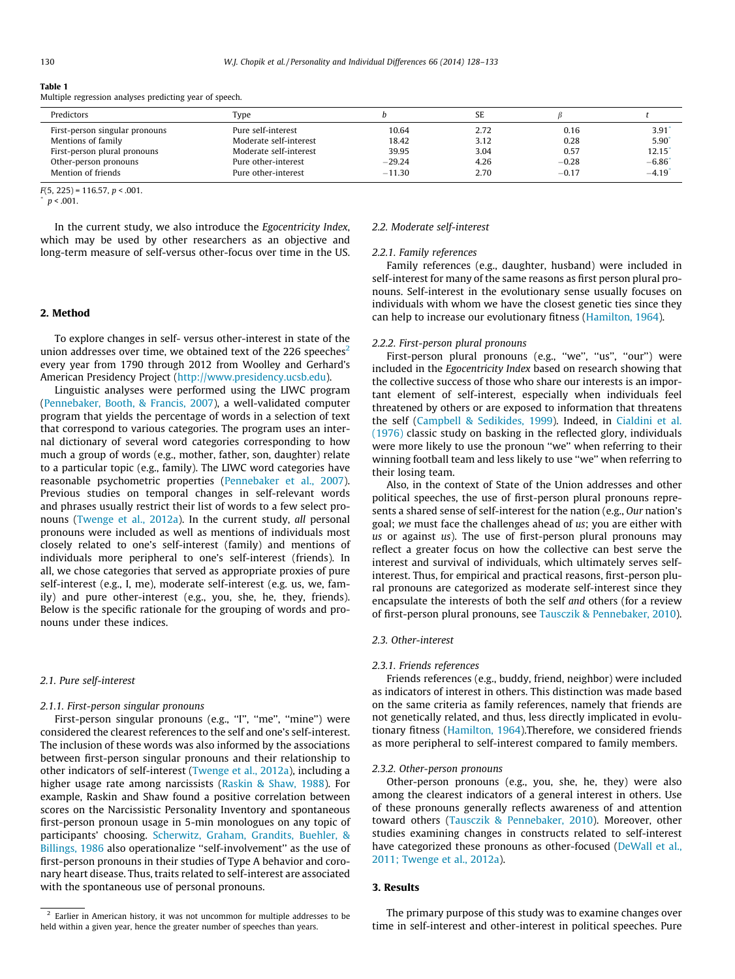<span id="page-2-0"></span>

| Table 1                                                 |  |  |
|---------------------------------------------------------|--|--|
| Multiple regression analyses predicting year of speech. |  |  |

| Predictors                     | Type                   |          | SE   |         |         |
|--------------------------------|------------------------|----------|------|---------|---------|
| First-person singular pronouns | Pure self-interest     | 10.64    | 2.72 | 0.16    | 3.91    |
| Mentions of family             | Moderate self-interest | 18.42    | 3.12 | 0.28    | 5.90    |
| First-person plural pronouns   | Moderate self-interest | 39.95    | 3.04 | 0.57    | 12.15'  |
| Other-person pronouns          | Pure other-interest    | $-29.24$ | 4.26 | $-0.28$ | $-6.86$ |
| Mention of friends             | Pure other-interest    | $-11.30$ | 2.70 | $-0.17$ | $-4.19$ |

 $F(5, 225) = 116.57, p < .001.$ 

In the current study, we also introduce the Egocentricity Index, which may be used by other researchers as an objective and long-term measure of self-versus other-focus over time in the US.

## 2. Method

To explore changes in self- versus other-interest in state of the union addresses over time, we obtained text of the 226 speeches<sup>2</sup> every year from 1790 through 2012 from Woolley and Gerhard's American Presidency Project (<http://www.presidency.ucsb.edu>).

Linguistic analyses were performed using the LIWC program ([Pennebaker, Booth, & Francis, 2007](#page-4-0)), a well-validated computer program that yields the percentage of words in a selection of text that correspond to various categories. The program uses an internal dictionary of several word categories corresponding to how much a group of words (e.g., mother, father, son, daughter) relate to a particular topic (e.g., family). The LIWC word categories have reasonable psychometric properties [\(Pennebaker et al., 2007\)](#page-4-0). Previous studies on temporal changes in self-relevant words and phrases usually restrict their list of words to a few select pronouns ([Twenge et al., 2012a\)](#page-5-0). In the current study, all personal pronouns were included as well as mentions of individuals most closely related to one's self-interest (family) and mentions of individuals more peripheral to one's self-interest (friends). In all, we chose categories that served as appropriate proxies of pure self-interest (e.g., I, me), moderate self-interest (e.g. us, we, family) and pure other-interest (e.g., you, she, he, they, friends). Below is the specific rationale for the grouping of words and pronouns under these indices.

#### 2.1. Pure self-interest

#### 2.1.1. First-person singular pronouns

First-person singular pronouns (e.g., "I", "me", "mine") were considered the clearest references to the self and one's self-interest. The inclusion of these words was also informed by the associations between first-person singular pronouns and their relationship to other indicators of self-interest [\(Twenge et al., 2012a](#page-5-0)), including a higher usage rate among narcissists ([Raskin & Shaw, 1988\)](#page-4-0). For example, Raskin and Shaw found a positive correlation between scores on the Narcissistic Personality Inventory and spontaneous first-person pronoun usage in 5-min monologues on any topic of participants' choosing. [Scherwitz, Graham, Grandits, Buehler, &](#page-4-0) [Billings, 1986](#page-4-0) also operationalize "self-involvement" as the use of first-person pronouns in their studies of Type A behavior and coronary heart disease. Thus, traits related to self-interest are associated with the spontaneous use of personal pronouns.

### 2.2. Moderate self-interest

#### 2.2.1. Family references

Family references (e.g., daughter, husband) were included in self-interest for many of the same reasons as first person plural pronouns. Self-interest in the evolutionary sense usually focuses on individuals with whom we have the closest genetic ties since they can help to increase our evolutionary fitness [\(Hamilton, 1964\)](#page-4-0).

#### 2.2.2. First-person plural pronouns

First-person plural pronouns (e.g., "we", "us", "our") were included in the Egocentricity Index based on research showing that the collective success of those who share our interests is an important element of self-interest, especially when individuals feel threatened by others or are exposed to information that threatens the self [\(Campbell & Sedikides, 1999\)](#page-4-0). Indeed, in [Cialdini et al.](#page-4-0) [\(1976\)](#page-4-0) classic study on basking in the reflected glory, individuals were more likely to use the pronoun ''we'' when referring to their winning football team and less likely to use ''we'' when referring to their losing team.

Also, in the context of State of the Union addresses and other political speeches, the use of first-person plural pronouns represents a shared sense of self-interest for the nation (e.g., Our nation's goal; we must face the challenges ahead of us; you are either with us or against  $us$ ). The use of first-person plural pronouns may reflect a greater focus on how the collective can best serve the interest and survival of individuals, which ultimately serves selfinterest. Thus, for empirical and practical reasons, first-person plural pronouns are categorized as moderate self-interest since they encapsulate the interests of both the self and others (for a review of first-person plural pronouns, see [Tausczik & Pennebaker, 2010\)](#page-4-0).

### 2.3. Other-interest

#### 2.3.1. Friends references

Friends references (e.g., buddy, friend, neighbor) were included as indicators of interest in others. This distinction was made based on the same criteria as family references, namely that friends are not genetically related, and thus, less directly implicated in evolutionary fitness ([Hamilton, 1964](#page-4-0)).Therefore, we considered friends as more peripheral to self-interest compared to family members.

#### 2.3.2. Other-person pronouns

Other-person pronouns (e.g., you, she, he, they) were also among the clearest indicators of a general interest in others. Use of these pronouns generally reflects awareness of and attention toward others [\(Tausczik & Pennebaker, 2010\)](#page-4-0). Moreover, other studies examining changes in constructs related to self-interest have categorized these pronouns as other-focused ([DeWall et al.,](#page-4-0) [2011; Twenge et al., 2012a\)](#page-4-0).

## 3. Results

The primary purpose of this study was to examine changes over time in self-interest and other-interest in political speeches. Pure

 $p < .001$ .

<sup>&</sup>lt;sup>2</sup> Earlier in American history, it was not uncommon for multiple addresses to be held within a given year, hence the greater number of speeches than years.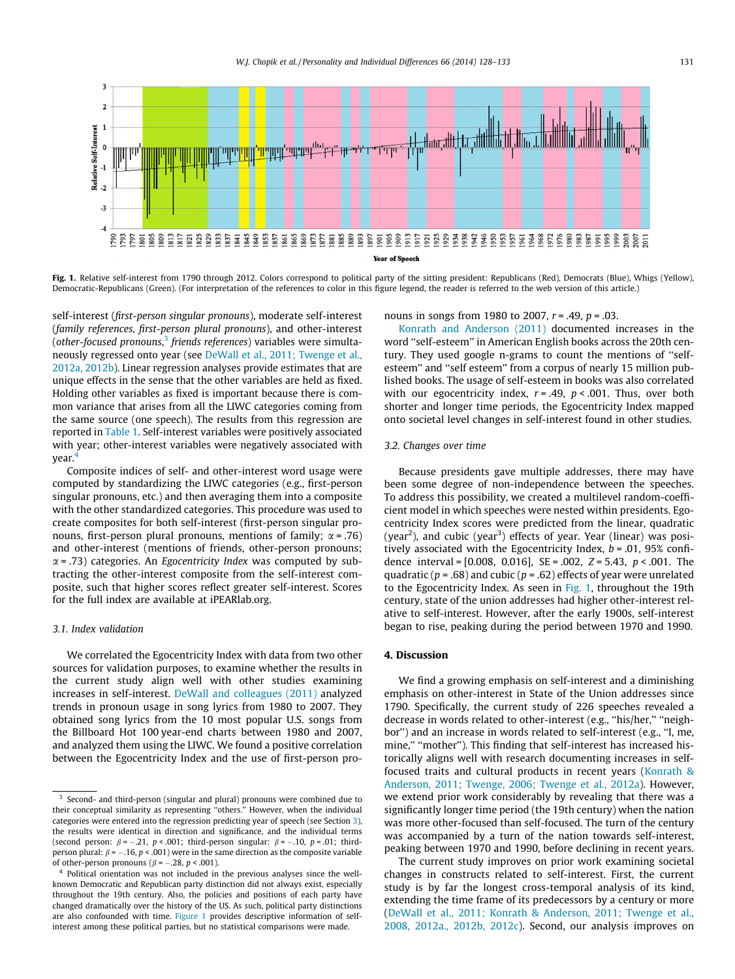

Fig. 1. Relative self-interest from 1790 through 2012. Colors correspond to political party of the sitting president: Republicans (Red), Democrats (Blue), Whigs (Yellow), Democratic-Republicans (Green). (For interpretation of the references to color in this figure legend, the reader is referred to the web version of this article.)

self-interest (first-person singular pronouns), moderate self-interest (family references, first-person plural pronouns), and other-interest (other-focused pronouns, $^3$  friends references) variables were simultaneously regressed onto year (see [DeWall et al., 2011; Twenge et al.,](#page-4-0) [2012a, 2012b](#page-4-0)). Linear regression analyses provide estimates that are unique effects in the sense that the other variables are held as fixed. Holding other variables as fixed is important because there is common variance that arises from all the LIWC categories coming from the same source (one speech). The results from this regression are reported in [Table 1.](#page-2-0) Self-interest variables were positively associated with year; other-interest variables were negatively associated with year.4

Composite indices of self- and other-interest word usage were computed by standardizing the LIWC categories (e.g., first-person singular pronouns, etc.) and then averaging them into a composite with the other standardized categories. This procedure was used to create composites for both self-interest (first-person singular pronouns, first-person plural pronouns, mentions of family;  $\alpha$  = .76) and other-interest (mentions of friends, other-person pronouns;  $\alpha$  = .73) categories. An *Egocentricity Index* was computed by subtracting the other-interest composite from the self-interest composite, such that higher scores reflect greater self-interest. Scores for the full index are available at iPEARlab.org.

## 3.1. Index validation

We correlated the Egocentricity Index with data from two other sources for validation purposes, to examine whether the results in the current study align well with other studies examining increases in self-interest. [DeWall and colleagues \(2011\)](#page-4-0) analyzed trends in pronoun usage in song lyrics from 1980 to 2007. They obtained song lyrics from the 10 most popular U.S. songs from the Billboard Hot 100 year-end charts between 1980 and 2007, and analyzed them using the LIWC. We found a positive correlation between the Egocentricity Index and the use of first-person pronouns in songs from 1980 to 2007,  $r = .49$ ,  $p = .03$ .

[Konrath and Anderson \(2011\)](#page-4-0) documented increases in the word ''self-esteem'' in American English books across the 20th century. They used google n-grams to count the mentions of ''selfesteem'' and ''self esteem'' from a corpus of nearly 15 million published books. The usage of self-esteem in books was also correlated with our egocentricity index,  $r = .49$ ,  $p < .001$ . Thus, over both shorter and longer time periods, the Egocentricity Index mapped onto societal level changes in self-interest found in other studies.

#### 3.2. Changes over time

Because presidents gave multiple addresses, there may have been some degree of non-independence between the speeches. To address this possibility, we created a multilevel random-coefficient model in which speeches were nested within presidents. Egocentricity Index scores were predicted from the linear, quadratic (year<sup>2</sup>), and cubic (year<sup>3</sup>) effects of year. Year (linear) was positively associated with the Egocentricity Index,  $b = .01$ , 95% confidence interval =  $[0.008, 0.016]$ , SE = .002, Z = 5.43,  $p < .001$ . The quadratic ( $p = .68$ ) and cubic ( $p = .62$ ) effects of year were unrelated to the Egocentricity Index. As seen in Fig. 1, throughout the 19th century, state of the union addresses had higher other-interest relative to self-interest. However, after the early 1900s, self-interest began to rise, peaking during the period between 1970 and 1990.

### 4. Discussion

We find a growing emphasis on self-interest and a diminishing emphasis on other-interest in State of the Union addresses since 1790. Specifically, the current study of 226 speeches revealed a decrease in words related to other-interest (e.g., "his/her," "neighbor'') and an increase in words related to self-interest (e.g., ''I, me, mine," "mother"). This finding that self-interest has increased historically aligns well with research documenting increases in selffocused traits and cultural products in recent years ([Konrath &](#page-4-0) [Anderson, 2011; Twenge, 2006; Twenge et al., 2012a](#page-4-0)). However, we extend prior work considerably by revealing that there was a significantly longer time period (the 19th century) when the nation was more other-focused than self-focused. The turn of the century was accompanied by a turn of the nation towards self-interest, peaking between 1970 and 1990, before declining in recent years.

The current study improves on prior work examining societal changes in constructs related to self-interest. First, the current study is by far the longest cross-temporal analysis of its kind, extending the time frame of its predecessors by a century or more ([DeWall et al., 2011; Konrath & Anderson, 2011; Twenge et al.,](#page-4-0) [2008, 2012a., 2012b, 2012c](#page-4-0)). Second, our analysis improves on

<sup>&</sup>lt;sup>3</sup> Second- and third-person (singular and plural) pronouns were combined due to their conceptual similarity as representing ''others.'' However, when the individual categories were entered into the regression predicting year of speech (see Section [3\)](#page-2-0), the results were identical in direction and significance, and the individual terms (second person:  $\beta = -.21$ ,  $p < .001$ ; third-person singular:  $\beta = -.10$ ,  $p = .01$ ; thirdperson plural:  $\beta$  =  $-$ .16, p < .001) were in the same direction as the composite variable of other-person pronouns ( $\beta$  = -.28, p < .001).

Political orientation was not included in the previous analyses since the wellknown Democratic and Republican party distinction did not always exist, especially throughout the 19th century. Also, the policies and positions of each party have changed dramatically over the history of the US. As such, political party distinctions are also confounded with time. Figure 1 provides descriptive information of selfinterest among these political parties, but no statistical comparisons were made.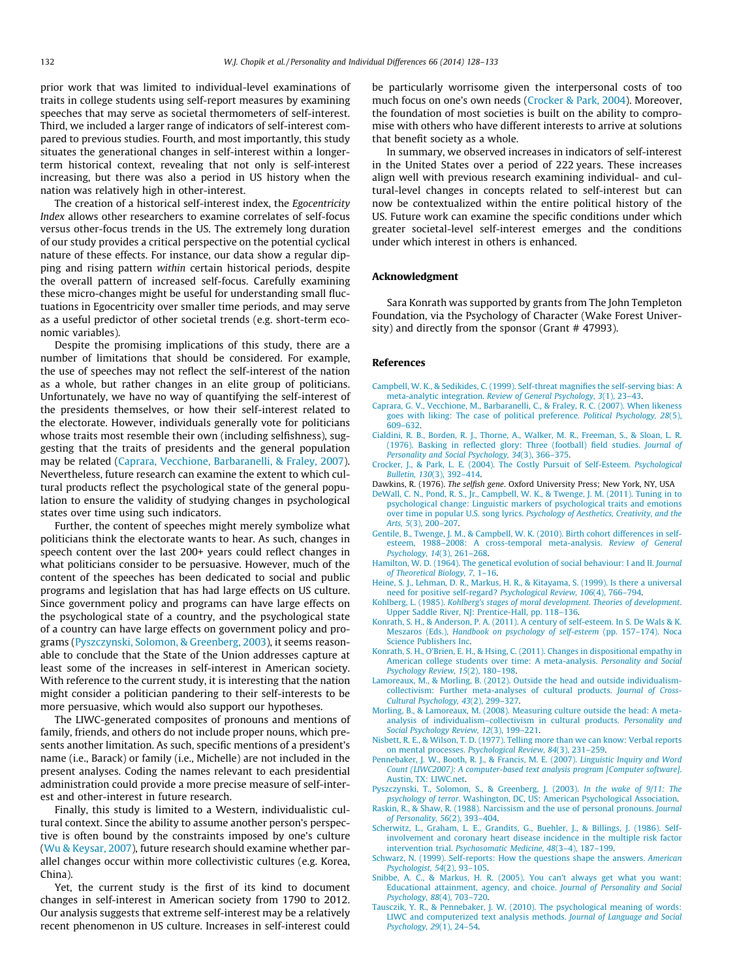<span id="page-4-0"></span>prior work that was limited to individual-level examinations of traits in college students using self-report measures by examining speeches that may serve as societal thermometers of self-interest. Third, we included a larger range of indicators of self-interest compared to previous studies. Fourth, and most importantly, this study situates the generational changes in self-interest within a longerterm historical context, revealing that not only is self-interest increasing, but there was also a period in US history when the nation was relatively high in other-interest.

The creation of a historical self-interest index, the Egocentricity Index allows other researchers to examine correlates of self-focus versus other-focus trends in the US. The extremely long duration of our study provides a critical perspective on the potential cyclical nature of these effects. For instance, our data show a regular dipping and rising pattern within certain historical periods, despite the overall pattern of increased self-focus. Carefully examining these micro-changes might be useful for understanding small fluctuations in Egocentricity over smaller time periods, and may serve as a useful predictor of other societal trends (e.g. short-term economic variables).

Despite the promising implications of this study, there are a number of limitations that should be considered. For example, the use of speeches may not reflect the self-interest of the nation as a whole, but rather changes in an elite group of politicians. Unfortunately, we have no way of quantifying the self-interest of the presidents themselves, or how their self-interest related to the electorate. However, individuals generally vote for politicians whose traits most resemble their own (including selfishness), suggesting that the traits of presidents and the general population may be related (Caprara, Vecchione, Barbaranelli, & Fraley, 2007). Nevertheless, future research can examine the extent to which cultural products reflect the psychological state of the general population to ensure the validity of studying changes in psychological states over time using such indicators.

Further, the content of speeches might merely symbolize what politicians think the electorate wants to hear. As such, changes in speech content over the last 200+ years could reflect changes in what politicians consider to be persuasive. However, much of the content of the speeches has been dedicated to social and public programs and legislation that has had large effects on US culture. Since government policy and programs can have large effects on the psychological state of a country, and the psychological state of a country can have large effects on government policy and programs (Pyszczynski, Solomon, & Greenberg, 2003), it seems reasonable to conclude that the State of the Union addresses capture at least some of the increases in self-interest in American society. With reference to the current study, it is interesting that the nation might consider a politician pandering to their self-interests to be more persuasive, which would also support our hypotheses.

The LIWC-generated composites of pronouns and mentions of family, friends, and others do not include proper nouns, which presents another limitation. As such, specific mentions of a president's name (i.e., Barack) or family (i.e., Michelle) are not included in the present analyses. Coding the names relevant to each presidential administration could provide a more precise measure of self-interest and other-interest in future research.

Finally, this study is limited to a Western, individualistic cultural context. Since the ability to assume another person's perspective is often bound by the constraints imposed by one's culture ([Wu & Keysar, 2007\)](#page-5-0), future research should examine whether parallel changes occur within more collectivistic cultures (e.g. Korea, China).

Yet, the current study is the first of its kind to document changes in self-interest in American society from 1790 to 2012. Our analysis suggests that extreme self-interest may be a relatively recent phenomenon in US culture. Increases in self-interest could be particularly worrisome given the interpersonal costs of too much focus on one's own needs (Crocker & Park, 2004). Moreover, the foundation of most societies is built on the ability to compromise with others who have different interests to arrive at solutions that benefit society as a whole.

In summary, we observed increases in indicators of self-interest in the United States over a period of 222 years. These increases align well with previous research examining individual- and cultural-level changes in concepts related to self-interest but can now be contextualized within the entire political history of the US. Future work can examine the specific conditions under which greater societal-level self-interest emerges and the conditions under which interest in others is enhanced.

#### Acknowledgment

Sara Konrath was supported by grants from The John Templeton Foundation, via the Psychology of Character (Wake Forest University) and directly from the sponsor (Grant # 47993).

#### References

- [Campbell, W. K., & Sedikides, C. \(1999\). Self-threat magnifies the self-serving bias: A](http://refhub.elsevier.com/S0191-8869(14)00174-3/h0005) meta-analytic integration. [Review of General Psychology, 3](http://refhub.elsevier.com/S0191-8869(14)00174-3/h0005)(1), 23–43.
- [Caprara, G. V., Vecchione, M., Barbaranelli, C., & Fraley, R. C. \(2007\). When likeness](http://refhub.elsevier.com/S0191-8869(14)00174-3/h0010) [goes with liking: The case of political preference.](http://refhub.elsevier.com/S0191-8869(14)00174-3/h0010) Political Psychology, 28(5), [609–632](http://refhub.elsevier.com/S0191-8869(14)00174-3/h0010).
- [Cialdini, R. B., Borden, R. J., Thorne, A., Walker, M. R., Freeman, S., & Sloan, L. R.](http://refhub.elsevier.com/S0191-8869(14)00174-3/h0015) [\(1976\). Basking in reflected glory: Three \(football\) field studies.](http://refhub.elsevier.com/S0191-8869(14)00174-3/h0015) Journal of [Personality and Social Psychology, 34](http://refhub.elsevier.com/S0191-8869(14)00174-3/h0015)(3), 366–375.
- [Crocker, J., & Park, L. E. \(2004\). The Costly Pursuit of Self-Esteem.](http://refhub.elsevier.com/S0191-8869(14)00174-3/h0180) Psychological Bulletin, 130[\(3\), 392–414](http://refhub.elsevier.com/S0191-8869(14)00174-3/h0180).
- Dawkins, R. (1976). The selfish gene. Oxford University Press; New York, NY, USA
- [DeWall, C. N., Pond, R. S., Jr., Campbell, W. K., & Twenge, J. M. \(2011\). Tuning in to](http://refhub.elsevier.com/S0191-8869(14)00174-3/h0025) [psychological change: Linguistic markers of psychological traits and emotions](http://refhub.elsevier.com/S0191-8869(14)00174-3/h0025) over time in popular U.S. song lyrics. [Psychology of Aesthetics, Creativity, and the](http://refhub.elsevier.com/S0191-8869(14)00174-3/h0025) Arts, 5[\(3\), 200–207](http://refhub.elsevier.com/S0191-8869(14)00174-3/h0025).
- [Gentile, B., Twenge, J. M., & Campbell, W. K. \(2010\). Birth cohort differences in self](http://refhub.elsevier.com/S0191-8869(14)00174-3/h0030)[esteem, 1988–2008: A cross-temporal meta-analysis.](http://refhub.elsevier.com/S0191-8869(14)00174-3/h0030) Review of General [Psychology, 14](http://refhub.elsevier.com/S0191-8869(14)00174-3/h0030)(3), 261–268.
- [Hamilton, W. D. \(1964\). The genetical evolution of social behaviour: I and II.](http://refhub.elsevier.com/S0191-8869(14)00174-3/h0035) Journal [of Theoretical Biology, 7](http://refhub.elsevier.com/S0191-8869(14)00174-3/h0035), 1–16.
- [Heine, S. J., Lehman, D. R., Markus, H. R., & Kitayama, S. \(1999\). Is there a universal](http://refhub.elsevier.com/S0191-8869(14)00174-3/h0040) [need for positive self-regard?](http://refhub.elsevier.com/S0191-8869(14)00174-3/h0040) Psychological Review, 106(4), 766–794.
- Kohlberg, L. (1985). [Kohlberg's stages of moral development. Theories of development](http://refhub.elsevier.com/S0191-8869(14)00174-3/h0160). [Upper Saddle River, NJ: Prentice-Hall, pp. 118–136](http://refhub.elsevier.com/S0191-8869(14)00174-3/h0160).
- [Konrath, S. H., & Anderson, P. A. \(2011\). A century of self-esteem. In S. De Wals & K.](http://refhub.elsevier.com/S0191-8869(14)00174-3/h0165) Meszaros (Eds.), [Handbook on psychology of self-esteem](http://refhub.elsevier.com/S0191-8869(14)00174-3/h0165) (pp. 157–174). Noca [Science Publishers Inc.](http://refhub.elsevier.com/S0191-8869(14)00174-3/h0165)
- [Konrath, S. H., O'Brien, E. H., & Hsing, C. \(2011\). Changes in dispositional empathy in](http://refhub.elsevier.com/S0191-8869(14)00174-3/h0055) [American college students over time: A meta-analysis.](http://refhub.elsevier.com/S0191-8869(14)00174-3/h0055) Personality and Social [Psychology Review, 15](http://refhub.elsevier.com/S0191-8869(14)00174-3/h0055)(2), 180–198.
- [Lamoreaux, M., & Morling, B. \(2012\). Outside the head and outside individualism](http://refhub.elsevier.com/S0191-8869(14)00174-3/h0060)[collectivism: Further meta-analyses of cultural products.](http://refhub.elsevier.com/S0191-8869(14)00174-3/h0060) Journal of Cross-[Cultural Psychology, 43](http://refhub.elsevier.com/S0191-8869(14)00174-3/h0060)(2), 299–327.
- [Morling, B., & Lamoreaux, M. \(2008\). Measuring culture outside the head: A meta](http://refhub.elsevier.com/S0191-8869(14)00174-3/h0065)[analysis of individualism–collectivism in cultural products.](http://refhub.elsevier.com/S0191-8869(14)00174-3/h0065) Personality and [Social Psychology Review, 12](http://refhub.elsevier.com/S0191-8869(14)00174-3/h0065)(3), 199–221.
- [Nisbett, R. E., & Wilson, T. D. \(1977\). Telling more than we can know: Verbal reports](http://refhub.elsevier.com/S0191-8869(14)00174-3/h0070) on mental processes. [Psychological Review, 84](http://refhub.elsevier.com/S0191-8869(14)00174-3/h0070)(3), 231–259.
- [Pennebaker, J. W., Booth, R. J., & Francis, M. E. \(2007\).](http://refhub.elsevier.com/S0191-8869(14)00174-3/h0170) Linguistic Inquiry and Word [Count \(LIWC2007\): A computer-based text analysis program \[Computer software\]](http://refhub.elsevier.com/S0191-8869(14)00174-3/h0170). [Austin, TX: LIWC.net.](http://refhub.elsevier.com/S0191-8869(14)00174-3/h0170)
- [Pyszczynski, T., Solomon, S., & Greenberg, J. \(2003\).](http://refhub.elsevier.com/S0191-8869(14)00174-3/h0080) In the wake of 9/11: The psychology of terror[. Washington, DC, US: American Psychological Association.](http://refhub.elsevier.com/S0191-8869(14)00174-3/h0080)
- [Raskin, R., & Shaw, R. \(1988\). Narcissism and the use of personal pronouns.](http://refhub.elsevier.com/S0191-8869(14)00174-3/h0085) Journal [of Personality, 56](http://refhub.elsevier.com/S0191-8869(14)00174-3/h0085)(2), 393–404.
- [Scherwitz, L., Graham, L. E., Grandits, G., Buehler, J., & Billings, J. \(1986\). Self](http://refhub.elsevier.com/S0191-8869(14)00174-3/h0090)[involvement and coronary heart disease incidence in the multiple risk factor](http://refhub.elsevier.com/S0191-8869(14)00174-3/h0090) intervention trial. [Psychosomatic Medicine, 48](http://refhub.elsevier.com/S0191-8869(14)00174-3/h0090)(3–4), 187–199.
- [Schwarz, N. \(1999\). Self-reports: How the questions shape the answers.](http://refhub.elsevier.com/S0191-8869(14)00174-3/h0095) American [Psychologist, 54](http://refhub.elsevier.com/S0191-8869(14)00174-3/h0095)(2), 93–105.
- [Snibbe, A. C., & Markus, H. R. \(2005\). You can't always get what you want:](http://refhub.elsevier.com/S0191-8869(14)00174-3/h0100) [Educational attainment, agency, and choice.](http://refhub.elsevier.com/S0191-8869(14)00174-3/h0100) Journal of Personality and Social [Psychology, 88](http://refhub.elsevier.com/S0191-8869(14)00174-3/h0100)(4), 703–720.
- [Tausczik, Y. R., & Pennebaker, J. W. \(2010\). The psychological meaning of words:](http://refhub.elsevier.com/S0191-8869(14)00174-3/h0105) [LIWC and computerized text analysis methods.](http://refhub.elsevier.com/S0191-8869(14)00174-3/h0105) Journal of Language and Social [Psychology, 29](http://refhub.elsevier.com/S0191-8869(14)00174-3/h0105)(1), 24–54.